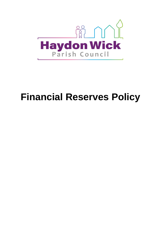

# **Financial Reserves Policy**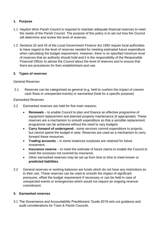# **1. Purpose**

- 1.1 Haydon Wick Parish Council is required to maintain adequate financial reserves to meet the needs of the Parish Council. The purpose of this policy is to set out how the Council will determine and review the level of reserves.
- 1.2 Sections 32 and 43 of the Local Government Finance Act 1992 require local authorities to have regard to the level of reserves needed for meeting estimated future expenditure when calculating the budget requirement. However, there is no specified minimum level of reserves that an authority should hold and it is the responsibility of the Responsible Financial Officer to advise the Council about the level of reserves and to ensure that there are procedures for their establishment and use.

# **2. Types of reserves**

## *General Reserves*

2.1 Reserves can be categorised as general (e.g. held to cushion the impact of uneven cash flows or unexpected events) or earmarked (held for a specific purpose).

## *Earmarked Reserves*

- 2.2 Earmarked reserves are held for five main reasons:
	- **Renewals** to enable Council to plan and finance an effective programme of equipment replacement and planned property maintenance (if appropriate). These reserves are a mechanism to smooth expenditure so that a sensible replacement programme can be achieved without the need to vary budgets.
	- **Carry forward of underspend** some services commit expenditure to projects, but cannot spend the budget in year. Reserves are used as a mechanism to carry forward these resources.
	- **Trading accounts** in some instances surpluses are retained for future investment.
	- **Insurance reserve** to meet the estimate of future claims to enable the Council to meet the excesses not covered by insurance.
	- Other earmarked reserves may be set up from time to time to meet known or **predicted liabilities**.
- 2.2 General reserves or working balances are funds which do not have any restrictions as to their use. These reserves can be used to smooth the impact of significant pressures, offset the budget requirement if necessary or can be held in case of unexpected events or emergencies which would not require an ongoing revenue commitment.

## **3. Earmarked reserves**

3.1 The Governance and Accountability Practitioners' Guide 2018 sets out guidance and audit considerations for Town & Parish Councils.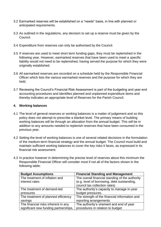- 3.2 Earmarked reserves will be established on a "needs" basis, in line with planned or anticipated requirements.
- 3.3 As outlined in the regulations, any decision to set up a reserve must be given by the Council.
- 3.4 Expenditure from reserves can only be authorised by the Council.
- 3.5 If reserves are used to meet short term funding gaps, they must be replenished in the following year. However, earmarked reserves that have been used to meet a specific liability would not need to be replenished, having served the purpose for which they were originally established.
- 3.6 All earmarked reserves are recorded on a schedule held by the Responsible Financial Officer which lists the various earmarked reserves and the purpose for which they are held.
- 3.7 Reviewing the Council's Financial Risk Assessment is part of the budgeting and year end accounting procedures and identifies planned and unplanned expenditure items and thereby indicates an appropriate level of Reserves for the Parish Council.

#### **4. Working balances**

- 4.1 The level of general reserves or working balances is a matter of judgement and so this policy does not attempt to prescribe a blanket level. The primary means of building working balances will be through an allocation from the annual budget. This will be in addition to any amounts needed to replenish reserves that have been consumed in the previous year.
- 4.2 Setting the level of working balances is one of several related decisions in the formulation of the medium-term financial strategy and the annual budget. The Council must build and maintain sufficient working balances to cover the key risks it faces, as expressed in its financial risk assessment.
- 4.3 In practice however in determining the precise level of reserves about this minimum the Responsible Financial Officer will consider most if not all of the factors shown in the following table:

| <b>Budget Assumptions</b>             | <b>Financial Standing and Management</b>        |
|---------------------------------------|-------------------------------------------------|
| The treatment of inflation and        | The overall financial standing of the authority |
| interest rates                        | (e.g. level of borrowing, debt outstanding,     |
|                                       | council tax collection rates)                   |
| The treatment of demand-led           | The authority's capacity to manage in-year      |
| pressures                             | budget pressures                                |
| The treatment of planned efficiency   | The strength of the financial information and   |
| savings                               | reporting arrangements                          |
| The financial risks inherent in any   | The authority's virement and end of year        |
| significant new funding partnerships, | procedures in relation to budget                |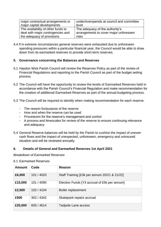| major contractual arrangements or  | under/overspends at council and committee |
|------------------------------------|-------------------------------------------|
| major capital developments         | level                                     |
| The availability of other funds to | The adequacy of the authority's           |
| deal with major contingencies and  | arrangements to cover major unforeseen    |
| the adequacy of provisions         | risks                                     |
|                                    |                                           |

4.4 If in extreme circumstances general reserves were exhausted due to unforeseen spending pressures within a particular financial year, the Council would be able to draw down from its earmarked reserves to provide short-term reserves.

## **5. Governance concerning the Balances and Reserves**

- 5.1 Haydon Wick Parish Council will review the Reserves Policy as part of the review of Financial Regulations and reporting to the Parish Council as part of the budget setting process.
- 5.2 The Council will have the opportunity to review the levels of Earmarked Reserves held in accordance with the Parish Council's Financial Regulation and make recommendation for the creation of additional Earmarked Reserves as part of the annual budgeting process.
- 5.3 The Council will be required to identify when making recommendation for each reserve:
	- The reason for/purpose of the reserve
	- How and when the reserve can be used
	- Procedures for the reserve's management and control
	- A process and timescales for review of the reserve to ensure continuing relevance and adequacy
- 5.4 General Reserve balances will be held by the Parish to cushion the impact of uneven cash flows and the impact of unexpected, unforeseen, emergency and uninsured situation and will be reviewed annually.

# **6. Details of General and Earmarked Reserves 1st April 2021**

#### *Breakdown of Earmarked Reserves*

#### 6.1 Earmarked Reserves

| <b>Amount</b> | Code       | Reason                                       |
|---------------|------------|----------------------------------------------|
| £6,000        | 101 / 4020 | Staff Training [£3k per annum 20/21 & 21/22] |
| £15,000       | 101 / 4090 | Election Funds [Y3 accrual of £5k per annum] |
| £2,500        | 102/4104   | Boiler replacement                           |
| £500          | 302 / 4342 | Skatepark repairs accrual                    |
| £25,000       | 605 / 4614 | Tadpole Lane access                          |